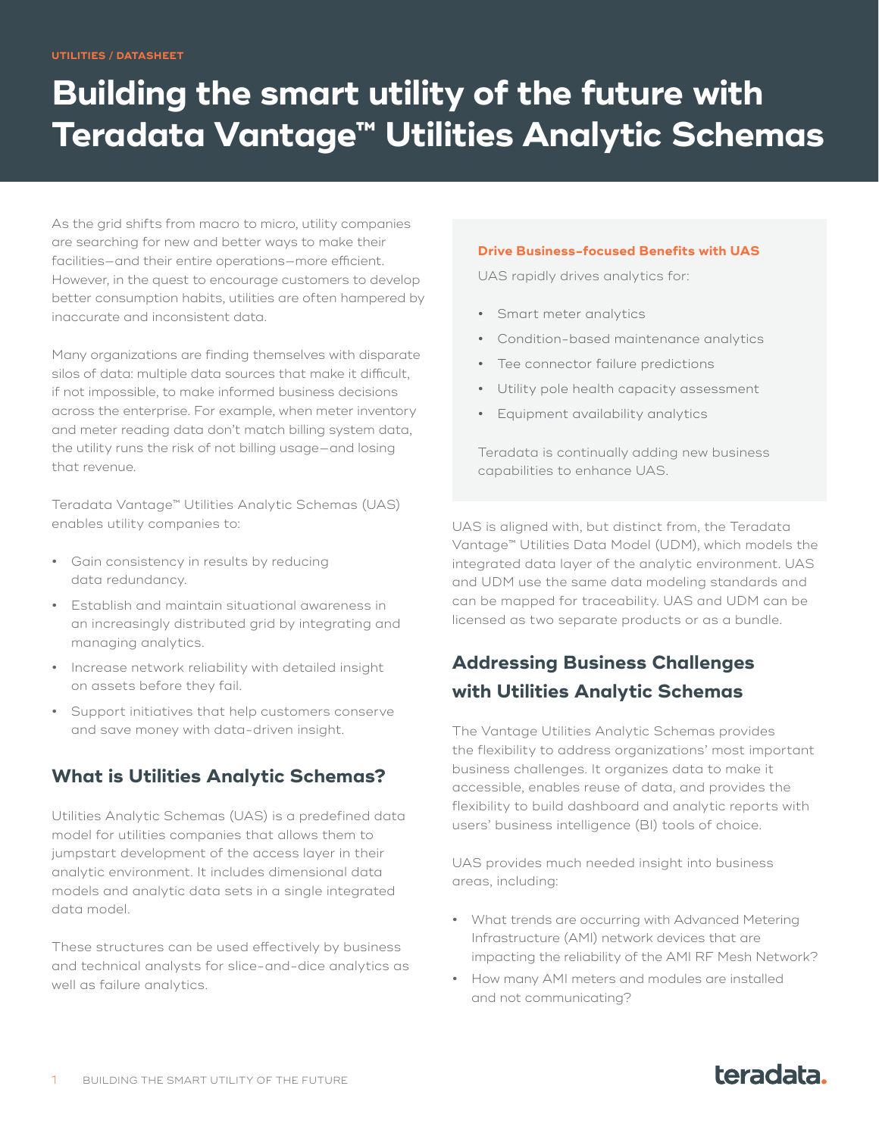# **Building the smart utility of the future with Teradata Vantage™ Utilities Analytic Schemas**

As the grid shifts from macro to micro, utility companies are searching for new and better ways to make their facilities—and their entire operations—more efficient. However, in the quest to encourage customers to develop better consumption habits, utilities are often hampered by inaccurate and inconsistent data.

Many organizations are finding themselves with disparate silos of data: multiple data sources that make it difficult, if not impossible, to make informed business decisions across the enterprise. For example, when meter inventory and meter reading data don't match billing system data, the utility runs the risk of not billing usage—and losing that revenue.

Teradata Vantage™ Utilities Analytic Schemas (UAS) enables utility companies to:

- **•** Gain consistency in results by reducing data redundancy.
- **•** Establish and maintain situational awareness in an increasingly distributed grid by integrating and managing analytics.
- **•** Increase network reliability with detailed insight on assets before they fail.
- **•** Support initiatives that help customers conserve and save money with data-driven insight.

#### **What is Utilities Analytic Schemas?**

Utilities Analytic Schemas (UAS) is a predefined data model for utilities companies that allows them to jumpstart development of the access layer in their analytic environment. It includes dimensional data models and analytic data sets in a single integrated data model.

These structures can be used effectively by business and technical analysts for slice-and-dice analytics as well as failure analytics.

#### **Drive Business-focused Benefits with UAS**

UAS rapidly drives analytics for:

- **•** Smart meter analytics
- **•** Condition-based maintenance analytics
- **•** Tee connector failure predictions
- **•** Utility pole health capacity assessment
- **•** Equipment availability analytics

Teradata is continually adding new business capabilities to enhance UAS.

UAS is aligned with, but distinct from, the Teradata Vantage™ Utilities Data Model (UDM), which models the integrated data layer of the analytic environment. UAS and UDM use the same data modeling standards and can be mapped for traceability. UAS and UDM can be licensed as two separate products or as a bundle.

### **Addressing Business Challenges with Utilities Analytic Schemas**

The Vantage Utilities Analytic Schemas provides the flexibility to address organizations' most important business challenges. It organizes data to make it accessible, enables reuse of data, and provides the flexibility to build dashboard and analytic reports with users' business intelligence (BI) tools of choice.

UAS provides much needed insight into business areas, including:

- **•** What trends are occurring with Advanced Metering Infrastructure (AMI) network devices that are impacting the reliability of the AMI RF Mesh Network?
- **•** How many AMI meters and modules are installed and not communicating?